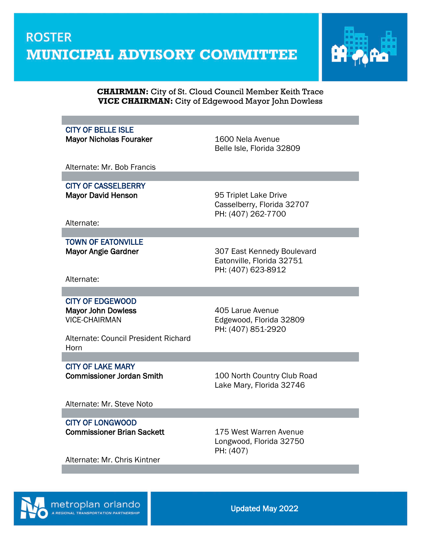

#### **CHAIRMAN:** City of St. Cloud Council Member Keith Trace **VICE CHAIRMAN:** City of Edgewood Mayor John Dowless

### CITY OF BELLE ISLE

Mayor Nicholas Fouraker 1600 Nela Avenue

Belle Isle, Florida 32809

Alternate: Mr. Bob Francis

CITY OF CASSELBERRY Mayor David Henson **195 Triplet Lake Drive** 

Casselberry, Florida 32707 PH: (407) 262-7700

Alternate:

TOWN OF EATONVILLE

Mayor Angie Gardner **307 East Kennedy Boulevard** Eatonville, Florida 32751 PH: (407) 623-8912

Alternate:

#### CITY OF EDGEWOOD Mayor John Dowless **1988 Mayor John Dowless 1988** Mayor John Dowless

VICE-CHAIRMAN Edgewood, Florida 32809 PH: (407) 851-2920

Alternate: Council President Richard **Horn** 

# CITY OF LAKE MARY

Commissioner Jordan Smith 100 North Country Club Road Lake Mary, Florida 32746

Alternate: Mr. Steve Noto

CITY OF LONGWOOD Commissioner Brian Sackett 175 West Warren Avenue

Longwood, Florida 32750 PH: (407)

Alternate: Mr. Chris Kintner

metroplan orlando

l

Updated May 2022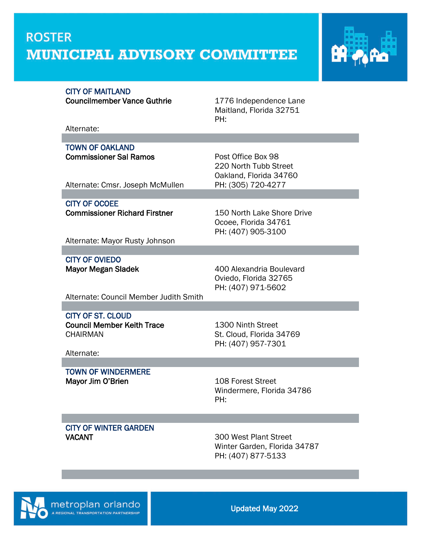## **ROSTER MUNICIPAL ADVISORY COMMITTEE**



#### CITY OF MAITLAND

Councilmember Vance Guthrie 1776 Independence Lane

Maitland, Florida 32751 PH:

Alternate:

TOWN OF OAKLAND **Commissioner Sal Ramos** Post Office Box 98

220 North Tubb Street Oakland, Florida 34760 Alternate: Cmsr. Joseph McMullen PH: (305) 720-4277

CITY OF OCOEE Commissioner Richard Firstner 150 North Lake Shore Drive

Ocoee, Florida 34761 PH: (407) 905-3100

Alternate: Mayor Rusty Johnson

CITY OF OVIEDO

Mayor Megan Sladek 400 Alexandria Boulevard Oviedo, Florida 32765 PH: (407) 971-5602

Alternate: Council Member Judith Smith

CITY OF ST. CLOUD

CHAIRMAN St. Cloud, Florida 34769

Council Member Keith Trace 1300 Ninth Street PH: (407) 957-7301

Alternate:

TOWN OF WINDERMERE Mayor Jim O'Brien 108 Forest Street

Windermere, Florida 34786 PH:

CITY OF WINTER GARDEN VACANT 300 West Plant Street

Winter Garden, Florida 34787 PH: (407) 877-5133